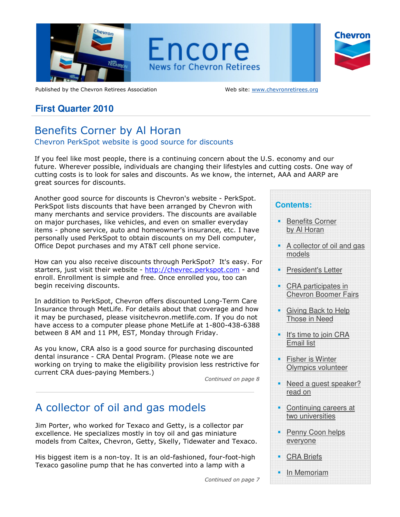

Published by the Chevron Retirees Association Web site: www.chevronretirees.org

## **First Quarter 2010**

# Benefits Corner by Al Horan

#### Chevron PerkSpot website is good source for discounts

If you feel like most people, there is a continuing concern about the U.S. economy and our future. Wherever possible, individuals are changing their lifestyles and cutting costs. One way of cutting costs is to look for sales and discounts. As we know, the internet, AAA and AARP are great sources for discounts.

Another good source for discounts is Chevron's website - PerkSpot. PerkSpot lists discounts that have been arranged by Chevron with many merchants and service providers. The discounts are available on major purchases, like vehicles, and even on smaller everyday items - phone service, auto and homeowner's insurance, etc. I have personally used PerkSpot to obtain discounts on my Dell computer, Office Depot purchases and my AT&T cell phone service.

How can you also receive discounts through PerkSpot? It's easy. For starters, just visit their website - http://chevrec.perkspot.com - and enroll. Enrollment is simple and free. Once enrolled you, too can begin receiving discounts.

In addition to PerkSpot, Chevron offers discounted Long-Term Care Insurance through MetLife. For details about that coverage and how it may be purchased, please visitchevron.metlife.com. If you do not have access to a computer please phone MetLife at 1-800-438-6388 between 8 AM and 11 PM, EST, Monday through Friday.

As you know, CRA also is a good source for purchasing discounted dental insurance - CRA Dental Program. (Please note we are working on trying to make the eligibility provision less restrictive for current CRA dues-paying Members.)

Continued on page 8

# A collector of oil and gas models

Jim Porter, who worked for Texaco and Getty, is a collector par excellence. He specializes mostly in toy oil and gas miniature models from Caltex, Chevron, Getty, Skelly, Tidewater and Texaco.

His biggest item is a non-toy. It is an old-fashioned, four-foot-high Texaco gasoline pump that he has converted into a lamp with a

Continued on page 7

### **Contents:**

- **Benefits Corner** by Al Horan
- A collector of oil and gas models
- **President's Letter**
- CRA participates in Chevron Boomer Fairs
- **Giving Back to Help** Those in Need
- **It's time to join CRA** Email list
- **Fisher is Winter** Olympics volunteer
- Need a guest speaker? read on
- Continuing careers at two universities
- Penny Coon helps everyone
- CRA Briefs
- In Memoriam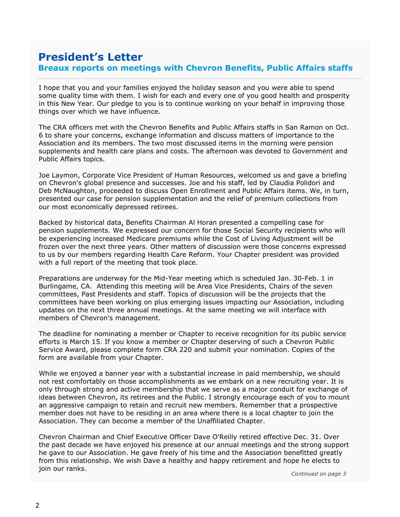## President's Letter

## Breaux reports on meetings with Chevron Benefits, Public Affairs staffs

I hope that you and your families enjoyed the holiday season and you were able to spend some quality time with them. I wish for each and every one of you good health and prosperity in this New Year. Our pledge to you is to continue working on your behalf in improving those things over which we have influence.

The CRA officers met with the Chevron Benefits and Public Affairs staffs in San Ramon on Oct. 6 to share your concerns, exchange information and discuss matters of importance to the Association and its members. The two most discussed items in the morning were pension supplements and health care plans and costs. The afternoon was devoted to Government and Public Affairs topics.

Joe Laymon, Corporate Vice President of Human Resources, welcomed us and gave a briefing on Chevron's global presence and successes. Joe and his staff, led by Claudia Polidori and Deb McNaughton, proceeded to discuss Open Enrollment and Public Affairs items. We, in turn, presented our case for pension supplementation and the relief of premium collections from our most economically depressed retirees.

Backed by historical data, Benefits Chairman Al Horan presented a compelling case for pension supplements. We expressed our concern for those Social Security recipients who will be experiencing increased Medicare premiums while the Cost of Living Adjustment will be frozen over the next three years. Other matters of discussion were those concerns expressed to us by our members regarding Health Care Reform. Your Chapter president was provided with a full report of the meeting that took place.

Preparations are underway for the Mid-Year meeting which is scheduled Jan. 30-Feb. 1 in Burlingame, CA. Attending this meeting will be Area Vice Presidents, Chairs of the seven committees, Past Presidents and staff. Topics of discussion will be the projects that the committees have been working on plus emerging issues impacting our Association, including updates on the next three annual meetings. At the same meeting we will interface with members of Chevron's management.

The deadline for nominating a member or Chapter to receive recognition for its public service efforts is March 15. If you know a member or Chapter deserving of such a Chevron Public Service Award, please complete form CRA 220 and submit your nomination. Copies of the form are available from your Chapter.

While we enjoyed a banner year with a substantial increase in paid membership, we should not rest comfortably on those accomplishments as we embark on a new recruiting year. It is only through strong and active membership that we serve as a major conduit for exchange of ideas between Chevron, its retirees and the Public. I strongly encourage each of you to mount an aggressive campaign to retain and recruit new members. Remember that a prospective member does not have to be residing in an area where there is a local chapter to join the Association. They can become a member of the Unaffiliated Chapter.

Chevron Chairman and Chief Executive Officer Dave O'Reilly retired effective Dec. 31. Over the past decade we have enjoyed his presence at our annual meetings and the strong support he gave to our Association. He gave freely of his time and the Association benefitted greatly from this relationship. We wish Dave a healthy and happy retirement and hope he elects to join our ranks.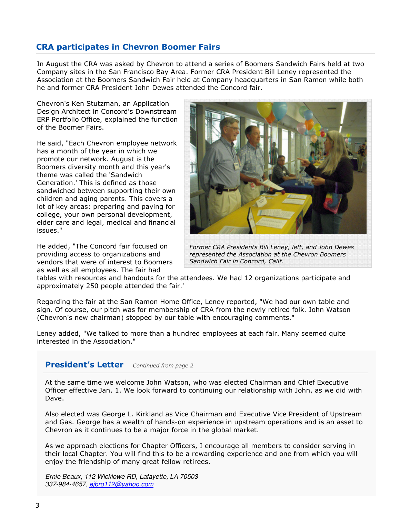## CRA participates in Chevron Boomer Fairs

 Company sites in the San Francisco Bay Area. Former CRA President Bill Leney represented the In August the CRA was asked by Chevron to attend a series of Boomers Sandwich Fairs held at two Association at the Boomers Sandwich Fair held at Company headquarters in San Ramon while both he and former CRA President John Dewes attended the Concord fair.

Chevron's Ken Stutzman, an Application Design Architect in Concord's Downstream ERP Portfolio Office, explained the function of the Boomer Fairs.

He said, "Each Chevron employee network has a month of the year in which we promote our network. August is the Boomers diversity month and this year's theme was called the 'Sandwich Generation.' This is defined as those sandwiched between supporting their own children and aging parents. This covers a lot of key areas: preparing and paying for college, your own personal development, elder care and legal, medical and financial issues."

He added, "The Concord fair focused on providing access to organizations and vendors that were of interest to Boomers as well as all employees. The fair had



Former CRA Presidents Bill Leney, left, and John Dewes represented the Association at the Chevron Boomers Sandwich Fair in Concord, Calif.

tables with resources and handouts for the attendees. We had 12 organizations participate and approximately 250 people attended the fair.'

Regarding the fair at the San Ramon Home Office, Leney reported, "We had our own table and sign. Of course, our pitch was for membership of CRA from the newly retired folk. John Watson (Chevron's new chairman) stopped by our table with encouraging comments."

Leney added, "We talked to more than a hundred employees at each fair. Many seemed quite interested in the Association."

### **President's Letter** Continued from page 2

At the same time we welcome John Watson, who was elected Chairman and Chief Executive Officer effective Jan. 1. We look forward to continuing our relationship with John, as we did with Dave.

Also elected was George L. Kirkland as Vice Chairman and Executive Vice President of Upstream and Gas. George has a wealth of hands-on experience in upstream operations and is an asset to Chevron as it continues to be a major force in the global market.

As we approach elections for Chapter Officers, I encourage all members to consider serving in their local Chapter. You will find this to be a rewarding experience and one from which you will enjoy the friendship of many great fellow retirees.

Ernie Beaux, 112 Wicklowe RD, Lafayette, LA 70503 337-984-4657, ejbro112@yahoo.com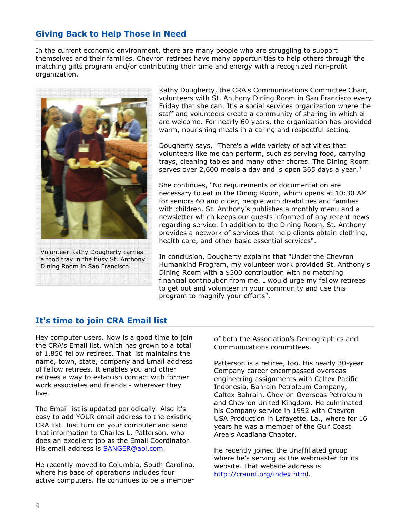## Giving Back to Help Those in Need

In the current economic environment, there are many people who are struggling to support themselves and their families. Chevron retirees have many opportunities to help others through the matching gifts program and/or contributing their time and energy with a recognized non-profit organization.



Volunteer Kathy Dougherty carries a food tray in the busy St. Anthony Dining Room in San Francisco.

Kathy Dougherty, the CRA's Communications Committee Chair, volunteers with St. Anthony Dining Room in San Francisco every Friday that she can. It's a social services organization where the staff and volunteers create a community of sharing in which all are welcome. For nearly 60 years, the organization has provided warm, nourishing meals in a caring and respectful setting.

Dougherty says, "There's a wide variety of activities that volunteers like me can perform, such as serving food, carrying trays, cleaning tables and many other chores. The Dining Room serves over 2,600 meals a day and is open 365 days a year."

She continues, "No requirements or documentation are necessary to eat in the Dining Room, which opens at 10:30 AM for seniors 60 and older, people with disabilities and families with children. St. Anthony's publishes a monthly menu and a newsletter which keeps our guests informed of any recent news regarding service. In addition to the Dining Room, St. Anthony provides a network of services that help clients obtain clothing, health care, and other basic essential services".

In conclusion, Dougherty explains that "Under the Chevron Humankind Program, my volunteer work provided St. Anthony's Dining Room with a \$500 contribution with no matching financial contribution from me. I would urge my fellow retirees to get out and volunteer in your community and use this program to magnify your efforts".

## It's time to join CRA Email list

Hey computer users. Now is a good time to join the CRA's Email list, which has grown to a total of 1,850 fellow retirees. That list maintains the name, town, state, company and Email address of fellow retirees. It enables you and other retirees a way to establish contact with former work associates and friends - wherever they live.

The Email list is updated periodically. Also it's easy to add YOUR email address to the existing CRA list. Just turn on your computer and send that information to Charles L. Patterson, who does an excellent job as the Email Coordinator. His email address is SANGER@aol.com.

He recently moved to Columbia, South Carolina, where his base of operations includes four active computers. He continues to be a member of both the Association's Demographics and Communications committees.

Patterson is a retiree, too. His nearly 30-year Company career encompassed overseas engineering assignments with Caltex Pacific Indonesia, Bahrain Petroleum Company, Caltex Bahrain, Chevron Overseas Petroleum and Chevron United Kingdom. He culminated his Company service in 1992 with Chevron USA Production in Lafayette, La., where for 16 years he was a member of the Gulf Coast Area's Acadiana Chapter.

He recently joined the Unaffiliated group where he's serving as the webmaster for its website. That website address is http://craunf.org/index.html.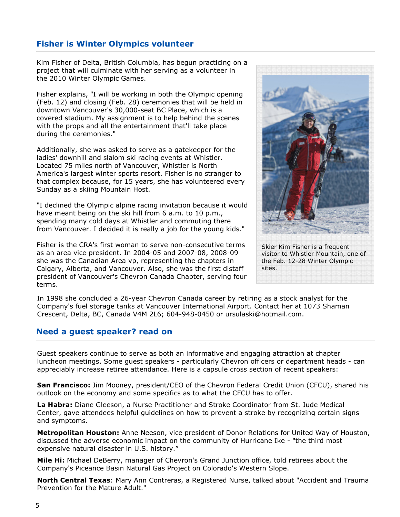## Fisher is Winter Olympics volunteer

j

Kim Fisher of Delta, British Columbia, has begun practicing on a project that will culminate with her serving as a volunteer in the 2010 Winter Olympic Games.

Fisher explains, "I will be working in both the Olympic opening (Feb. 12) and closing (Feb. 28) ceremonies that will be held in downtown Vancouver's 30,000-seat BC Place, which is a covered stadium. My assignment is to help behind the scenes with the props and all the entertainment that'll take place during the ceremonies."

Additionally, she was asked to serve as a gatekeeper for the ladies' downhill and slalom ski racing events at Whistler. Located 75 miles north of Vancouver, Whistler is North America's largest winter sports resort. Fisher is no stranger to that complex because, for 15 years, she has volunteered every Sunday as a skiing Mountain Host.

"I declined the Olympic alpine racing invitation because it would have meant being on the ski hill from 6 a.m. to 10 p.m., spending many cold days at Whistler and commuting there from Vancouver. I decided it is really a job for the young kids."

Fisher is the CRA's first woman to serve non-consecutive terms as an area vice president. In 2004-05 and 2007-08, 2008-09 she was the Canadian Area vp, representing the chapters in Calgary, Alberta, and Vancouver. Also, she was the first distaff president of Vancouver's Chevron Canada Chapter, serving four terms.



Skier Kim Fisher is a frequent visitor to Whistler Mountain, one of the Feb. 12-28 Winter Olympic sites.

In 1998 she concluded a 26-year Chevron Canada career by retiring as a stock analyst for the Company's fuel storage tanks at Vancouver International Airport. Contact her at 1073 Shaman Crescent, Delta, BC, Canada V4M 2L6; 604-948-0450 or ursulaski@hotmail.com.

#### Need a guest speaker? read on

Guest speakers continue to serve as both an informative and engaging attraction at chapter luncheon meetings. Some guest speakers - particularly Chevron officers or department heads - can appreciably increase retiree attendance. Here is a capsule cross section of recent speakers:

**San Francisco:** Jim Mooney, president/CEO of the Chevron Federal Credit Union (CFCU), shared his outlook on the economy and some specifics as to what the CFCU has to offer.

La Habra: Diane Gleeson, a Nurse Practitioner and Stroke Coordinator from St. Jude Medical Center, gave attendees helpful guidelines on how to prevent a stroke by recognizing certain signs and symptoms.

Metropolitan Houston: Anne Neeson, vice president of Donor Relations for United Way of Houston, discussed the adverse economic impact on the community of Hurricane Ike - "the third most expensive natural disaster in U.S. history."

Mile Hi: Michael DeBerry, manager of Chevron's Grand Junction office, told retirees about the Company's Piceance Basin Natural Gas Project on Colorado's Western Slope.

North Central Texas: Mary Ann Contreras, a Registered Nurse, talked about "Accident and Trauma Prevention for the Mature Adult."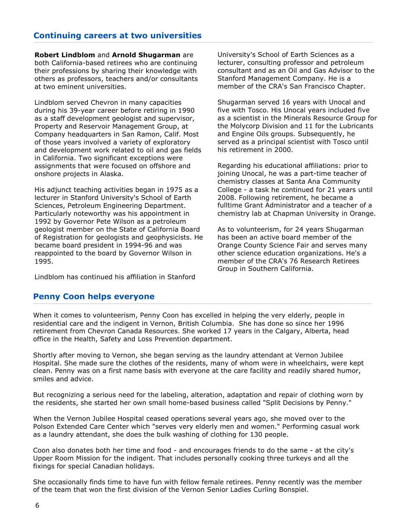### Continuing careers at two universities

Robert Lindblom and Arnold Shugarman are both California-based retirees who are continuing their professions by sharing their knowledge with others as professors, teachers and/or consultants at two eminent universities.

Lindblom served Chevron in many capacities during his 39-year career before retiring in 1990 as a staff development geologist and supervisor, Property and Reservoir Management Group, at Company headquarters in San Ramon, Calif. Most of those years involved a variety of exploratory and development work related to oil and gas fields in California. Two significant exceptions were assignments that were focused on offshore and onshore projects in Alaska.

His adjunct teaching activities began in 1975 as a lecturer in Stanford University's School of Earth Sciences, Petroleum Engineering Department. Particularly noteworthy was his appointment in 1992 by Governor Pete Wilson as a petroleum geologist member on the State of California Board of Registration for geologists and geophysicists. He became board president in 1994-96 and was reappointed to the board by Governor Wilson in 1995.

Lindblom has continued his affiliation in Stanford

Penny Coon helps everyone

University's School of Earth Sciences as a lecturer, consulting professor and petroleum consultant and as an Oil and Gas Advisor to the Stanford Management Company. He is a member of the CRA's San Francisco Chapter.

Shugarman served 16 years with Unocal and five with Tosco. His Unocal years included five as a scientist in the Minerals Resource Group for the Molycorp Division and 11 for the Lubricants and Engine Oils groups. Subsequently, he served as a principal scientist with Tosco until his retirement in 2000.

Regarding his educational affiliations: prior to joining Unocal, he was a part-time teacher of chemistry classes at Santa Ana Community College - a task he continued for 21 years until 2008. Following retirement, he became a fulltime Grant Administrator and a teacher of a chemistry lab at Chapman University in Orange.

As to volunteerism, for 24 years Shugarman has been an active board member of the Orange County Science Fair and serves many other science education organizations. He's a member of the CRA's 76 Research Retirees Group in Southern California.

When it comes to volunteerism, Penny Coon has excelled in helping the very elderly, people in residential care and the indigent in Vernon, British Columbia. She has done so since her 1996 retirement from Chevron Canada Resources. She worked 17 years in the Calgary, Alberta, head office in the Health, Safety and Loss Prevention department.

Shortly after moving to Vernon, she began serving as the laundry attendant at Vernon Jubilee Hospital. She made sure the clothes of the residents, many of whom were in wheelchairs, were kept clean. Penny was on a first name basis with everyone at the care facility and readily shared humor, smiles and advice.

But recognizing a serious need for the labeling, alteration, adaptation and repair of clothing worn by the residents, she started her own small home-based business called "Split Decisions by Penny."

When the Vernon Jubilee Hospital ceased operations several years ago, she moved over to the Polson Extended Care Center which "serves very elderly men and women." Performing casual work as a laundry attendant, she does the bulk washing of clothing for 130 people.

Coon also donates both her time and food - and encourages friends to do the same - at the city's Upper Room Mission for the indigent. That includes personally cooking three turkeys and all the fixings for special Canadian holidays.

She occasionally finds time to have fun with fellow female retirees. Penny recently was the member of the team that won the first division of the Vernon Senior Ladies Curling Bonspiel.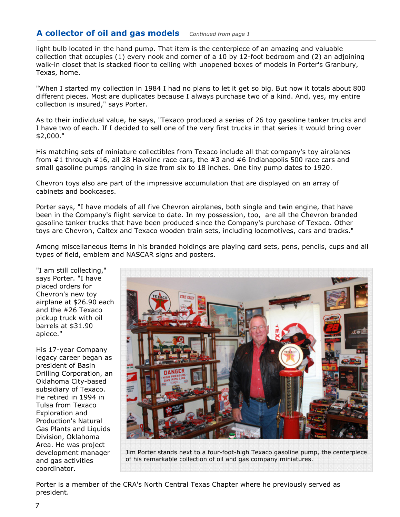### A collector of oil and gas models Continued from page 1

light bulb located in the hand pump. That item is the centerpiece of an amazing and valuable collection that occupies (1) every nook and corner of a 10 by 12-foot bedroom and (2) an adjoining walk-in closet that is stacked floor to ceiling with unopened boxes of models in Porter's Granbury, Texas, home.

"When I started my collection in 1984 I had no plans to let it get so big. But now it totals about 800 different pieces. Most are duplicates because I always purchase two of a kind. And, yes, my entire collection is insured," says Porter.

As to their individual value, he says, "Texaco produced a series of 26 toy gasoline tanker trucks and I have two of each. If I decided to sell one of the very first trucks in that series it would bring over \$2,000."

His matching sets of miniature collectibles from Texaco include all that company's toy airplanes from #1 through #16, all 28 Havoline race cars, the #3 and #6 Indianapolis 500 race cars and small gasoline pumps ranging in size from six to 18 inches. One tiny pump dates to 1920.

Chevron toys also are part of the impressive accumulation that are displayed on an array of cabinets and bookcases.

Porter says, "I have models of all five Chevron airplanes, both single and twin engine, that have been in the Company's flight service to date. In my possession, too, are all the Chevron branded gasoline tanker trucks that have been produced since the Company's purchase of Texaco. Other toys are Chevron, Caltex and Texaco wooden train sets, including locomotives, cars and tracks."

Among miscellaneous items in his branded holdings are playing card sets, pens, pencils, cups and all types of field, emblem and NASCAR signs and posters.

"I am still collecting," says Porter. "I have placed orders for Chevron's new toy airplane at \$26.90 each and the #26 Texaco pickup truck with oil barrels at \$31.90 apiece."

His 17-year Company legacy career began as president of Basin Drilling Corporation, an Oklahoma City-based subsidiary of Texaco. He retired in 1994 in Tulsa from Texaco Exploration and Production's Natural Gas Plants and Liquids Division, Oklahoma Area. He was project development manager and gas activities coordinator.



Jim Porter stands next to a four-foot-high Texaco gasoline pump, the centerpiece of his remarkable collection of oil and gas company miniatures.

Porter is a member of the CRA's North Central Texas Chapter where he previously served as president.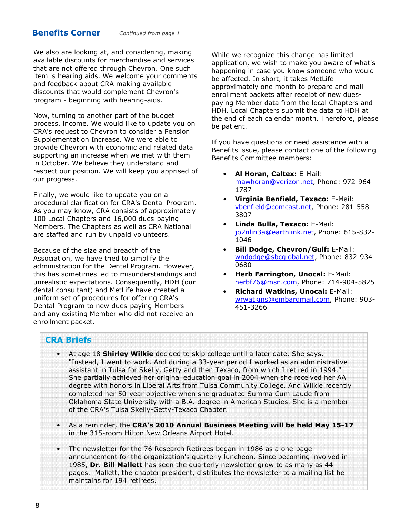We also are looking at, and considering, making available discounts for merchandise and services that are not offered through Chevron. One such item is hearing aids. We welcome your comments and feedback about CRA making available discounts that would complement Chevron's program - beginning with hearing-aids.

Now, turning to another part of the budget process, income. We would like to update you on CRA's request to Chevron to consider a Pension Supplementation Increase. We were able to provide Chevron with economic and related data supporting an increase when we met with them in October. We believe they understand and respect our position. We will keep you apprised of our progress.

Finally, we would like to update you on a procedural clarification for CRA's Dental Program. As you may know, CRA consists of approximately 100 Local Chapters and 16,000 dues-paying Members. The Chapters as well as CRA National are staffed and run by unpaid volunteers.

Because of the size and breadth of the Association, we have tried to simplify the administration for the Dental Program. However, this has sometimes led to misunderstandings and unrealistic expectations. Consequently, HDH (our dental consultant) and MetLife have created a uniform set of procedures for offering CRA's Dental Program to new dues-paying Members and any existing Member who did not receive an enrollment packet.

While we recognize this change has limited application, we wish to make you aware of what's happening in case you know someone who would be affected. In short, it takes MetLife approximately one month to prepare and mail enrollment packets after receipt of new duespaying Member data from the local Chapters and HDH. Local Chapters submit the data to HDH at the end of each calendar month. Therefore, please be patient.

If you have questions or need assistance with a Benefits issue, please contact one of the following Benefits Committee members:

- Al Horan, Caltex: E-Mail: mawhoran@verizon.net, Phone: 972-964- 1787
- Virginia Benfield, Texaco: E-Mail: vbenfield@comcast.net, Phone: 281-558- 3807
- Linda Bulla, Texaco: E-Mail: jo2nlin3a@earthlink.net, Phone: 615-832- 1046
- **Bill Dodge, Chevron/Gulf: E-Mail:** wndodge@sbcglobal.net, Phone: 832-934- 0680
- Herb Farrington, Unocal: E-Mail: herbf76@msn.com, Phone: 714-904-5825
- Richard Watkins, Unocal: E-Mail: wrwatkins@embarqmail.com, Phone: 903- 451-3266

#### CRA Briefs

At age 18 **Shirley Wilkie** decided to skip college until a later date. She says, "Instead, I went to work. And during a 33-year period I worked as an administrative assistant in Tulsa for Skelly, Getty and then Texaco, from which I retired in 1994." She partially achieved her original education goal in 2004 when she received her AA degree with honors in Liberal Arts from Tulsa Community College. And Wilkie recently completed her 50-year objective when she graduated Summa Cum Laude from Oklahoma State University with a B.A. degree in American Studies. She is a member of the CRA's Tulsa Skelly-Getty-Texaco Chapter.

As a reminder, the CRA's 2010 Annual Business Meeting will be held May 15-17 in the 315-room Hilton New Orleans Airport Hotel.

• The newsletter for the 76 Research Retirees began in 1986 as a one-page announcement for the organization's quarterly luncheon. Since becoming involved in 1985, Dr. Bill Mallett has seen the quarterly newsletter grow to as many as 44 pages. Mallett, the chapter president, distributes the newsletter to a mailing list he maintains for 194 retirees.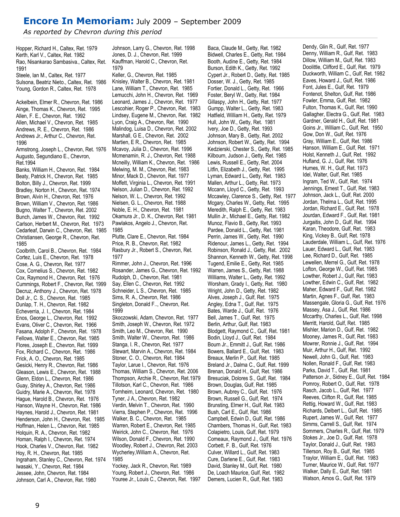### Encore In Memoriam: July 2009 – September 2009

As reported by Chevron during this period

Hopper, Richard H., Caltex, Ret. 1979 Kerth, Karl V., Caltex, Ret. 1982 Rao, Nisankarao Sambasiva., Caltex, Ret. 1991 Steele, Ian M., Caltex, Ret. 1977 Sulsona, Beatriz Nieto., Caltex, Ret. 1986 Young, Gordon R., Caltex, Ret. 1978 Ackelbein, Elmer R., Chevron, Ret. 1986 Ainge, Thomas K., Chevron, Ret. 1995 Allen, F. E., Chevron, Ret. 1992 Allen, Michael V., Chevron, Ret. 1985 Andrews, R. E., Chevron, Ret. 1986 Andrews Jr., Arthur C., Chevron, Ret. 1996 Armstrong, Joseph L., Chevron, Ret. 1976 Augusto, Segundiano E., Chevron, Ret.1994 Banks, William H., Chevron, Ret. 1984 Beaty, Patrick H., Chevron, Ret. 1985 Bolton, Billy J., Chevron, Ret. 1999 Bradley, Norton H., Chevron, Ret. 1974 Brown, Alvin H., Chevron, Ret. 1976 Brown, William V., Chevron, Ret. 1986 Bugno, Walter T., Chevron, Ret. 2002 Bunch, James W., Chevron, Ret. 1992 Carlson, Herbert M., Chevron, Ret. 1973 Cedarleaf, Darwin C., Chevron, Ret. 1985 Christiansen, George R., Chevron, Ret. 1985 Coolbrith, Carol B., Chevron, Ret. 1984 Cortez, Luis E., Chevron, Ret. 1978 Cose, A. G., Chevron, Ret. 1977 Cox, Cornelius S., Chevron, Ret. 1982 Cox, Raymond H., Chevron, Ret. 1976 Cummings, Robert F., Chevron, Ret. 1999 Decruz, Anthony J., Chevron, Ret. 1978 Doll Jr., C. S., Chevron, Ret. 1985 Dunlap, T. H., Chevron, Ret. 1982 Echeverria, J. I., Chevron, Ret. 1984 Enos, George L., Chevron, Ret. 1992 Evans, Oliver C., Chevron, Ret. 1966 Fasana, Adolph F., Chevron, Ret. 1978 Fellows, Walter E., Chevron, Ret. 1985 Flores, Joseph E., Chevron, Ret. 1999 Fox, Richard C., Chevron, Ret. 1986 Frick, A. O., Chevron, Ret. 1985 Gesicki, Henry R., Chevron, Ret. 1986 Gleason, Lewis E., Chevron, Ret. 1988 Glenn, Eldon L., Chevron, Ret. 1986 Guay, Shirley A., Chevron, Ret. 1986 Guidry, Marie A., Chevron, Ret. 1978 Hague, Harold B., Chevron, Ret. 1976 Hanson, Wayne H., Chevron, Ret. 1986 Haynes, Harold J., Chevron, Ret. 1981 Henderson, John H., Chevron, Ret. 1985 Hoffman, Helen L., Chevron, Ret. 1985 Holquin, R. A., Chevron, Ret. 1982 Homan, Ralph I., Chevron, Ret. 1974 Hook, Charles V., Chevron, Ret. 1982 Hoy, R. H., Chevron, Ret. 1985 Ingraham, Stanley C., Chevron, Ret. 1974 Iwasaki, Y., Chevron, Ret. 1984 Jessee, John, Chevron, Ret. 1984 Johnson, Carl A., Chevron, Ret. 1980

Johnson, Larry G., Chevron, Ret. 1998 Jones, D. J., Chevron, Ret. 1999 Kauffman, Harold C., Chevron, Ret. 1979

Keller, G., Chevron, Ret. 1985 Knisley, Walter B., Chevron, Ret. 1981 Lane, William T., Chevron, Ret. 1985 Lemucchi, John H., Chevron, Ret. 1969 Leonard, James J., Chevron, Ret. 1977 Lescohier, Roger P., Chevron, Ret. 1983 Lindsey, Eugene M., Chevron, Ret. 1982 Lyon, Craig A., Chevron, Ret. 1990 Malindog, Luisa D., Chevron, Ret. 2002 Marshall, G E., Chevron, Ret. 2002 Martien, E R., Chevron, Ret. 1985 Mcavoy, Julia D., Chevron, Ret. 1996 Mcmenamin, R. J., Chevron, Ret. 1988 Mcneilly, William K., Chevron, Ret. 1986 Melwing, M. M., Chevron, Ret. 1983 Minor, Mack D., Chevron, Ret. 1977 Moffett, Virginia L., Chevron, Ret. 1991 Nelson, Julian D., Chevron, Ret. 1992 Nelson, W. L., Chevron, Ret. 1992 Nielsen, G. L., Chevron, Ret. 1988 Noble, E. H., Chevron, Ret. 1981 Okamura Jr., D. K., Chevron, Ret. 1981 Pawlakos, Angelo J., Chevron, Ret. 1985

Plutte, Clare E., Chevron, Ret. 1984 Price, R. B., Chevron, Ret. 1982 Rasbury Jr., Robert S., Chevron, Ret. 1977

Rimmer, John J., Chevron, Ret. 1996 Rosander, James G., Chevron, Ret. 1992 Rudolph, D., Chevron, Ret. 1981 Say, Ellen C., Chevron, Ret. 1992 Schneider, L S., Chevron, Ret. 1985 Sims, R. A., Chevron, Ret. 1986 Singleton, Donald F.., Chevron, Ret. 1999

Skoczowski, Adam, Chevron, Ret. 1977 Smith, Joseph W., Chevron, Ret. 1972 Smith, Leo M., Chevron, Ret. 1990 Smith, Walter W., Chevron, Ret. 1986 Stanga, I. R., Chevron, Ret. 1977 Stewart, Marvin A., Chevron, Ret. 1984 Stoner, C. O., Chevron, Ret. 1984 Taylor, Larue I., Chevron, Ret. 1976 Thomas, William S., Chevron, Ret. 2006 Thompson, Archie R., Chevron, Ret.1979 Tillotson, Karl C., Chevron, Ret. 1986 Tornheim, Leonard, Chevron, Ret. 1980 Tyner, J A., Chevron, Ret. 1982 Verdin, Melvin T., Chevron, Ret. 1990 Vierra, Stephen P., Chevron, Ret. 1996 Walker, B. C., Chevron, Ret. 1985 Warren, Robert E., Chevron, Ret. 1985 Weirick, John C., Chevron, Ret. 1976 Wilson, Donald F., Chevron, Ret. 1990 Woodley, Robert J., Chevron, Ret. 2003 Wycherley,William A., Chevron, Ret. 1985

Yockey, Jack R., Chevron, Ret. 1989 Young, Robert J., Chevron, Ret. 1986 Youree Jr., Louis C., Chevron, Ret. 1997

Baca, Claude M., Getty, Ret. 1982 Bidwell, Charles E., Getty, Ret. 1984 Booth, Audine E., Getty, Ret. 1984 Burson, Edith K., Getty, Ret. 1992 Cypert Jr., Robert D., Getty, Ret. 1985 Dosser, W. J., Getty, Ret. 1985 Fortier, Donald L., Getty, Ret. 1966 Foster, Beryl W., Getty, Ret. 1984 Gillaspy, John H., Getty, Ret. 1977 Gumpp, Walter L., Getty, Ret. 1983 Hatfield, William H., Getty, Ret. 1979 Hull, John W., Getty, Ret. 1981 Ivery, Joe D., Getty, Ret. 1993 Johnson, Mary B., Getty, Ret. 2002 Johnson, Robert W., Getty, Ret. 1994 Kedzierski, Chester S., Getty, Ret. 1985 Kilbourn, Judson J., Getty, Ret. 1985 Lewis, Russell E., Getty, Ret. 2004 Litfin, Elizabeth J., Getty, Ret. 1995 Lyman, Edward L., Getty, Ret. 1983 Mallen, Arthur L., Getty, Ret. 1973 Mccann, Lloyd C., Getty, Ret. 1993 Mccawley, Clarence S., Getty, Ret. 1977 Mcgary, Charles W., Getty, Ret. 1995 Meredith, Ralph E., Getty, Ret. 1983 Mullin Jr., Michael E., Getty, Ret. 1982 Munoz, Flavio B., Getty, Ret. 1993 Pardee, Donald L., Getty, Ret. 1981 Perrin, James W., Getty, Ret. 1990 Ridenour, James L., Getty, Ret. 1994 Robinson, Ronald J., Getty, Ret. 2002 Shannon, Kenneth W., Getty, Ret. 1998 Tugend, Emilie E., Getty, Ret. 1985 Warren, James S., Getty, Ret. 1988 Williams, Walter L., Getty, Ret. 1992 Worsham, Grady I., Getty, Ret. 1980 Wright, John D., Getty, Ret. 1982 Alves, Joseph J., Gulf, Ret. 1975 Angley, Edna T., Gulf, Ret. 1975 Bates, Warde J., Gulf, Ret. 1976 Bell, James T., Gulf, Ret. 1975 Berlin, Arthur, Gulf, Ret. 1983 Blodgett, Raymond C., Gulf, Ret. 1981 Bodin, Lloyd J., Gulf, Ret. 1984 Bourn Jr., Emmitt J., Gulf, Ret. 1986 Bowers, Ballard E., Gulf, Ret. 1983 Breaux, Merlin P., Gulf, Ret. 1985 Breland Jr., Dalma C., Gulf, Ret. 1999 Brenan, Donald H., Gulf, Ret. 1986 Bresuciak, Dolores S., Gulf, Ret. 1984 Brown, Douglas, Gulf, Ret. 1985 Brown, Aubrey C., Gulf, Ret. 1976 Brown, Russell G., Gulf, Ret. 1974 Brunsting, Elmer H., Gulf, Ret. 1983 Bush, Carl E., Gulf, Ret. 1986 Campbell, Edwin D., Gulf, Ret. 1986 Chambers, Thomas H., Gulf, Ret. 1983 Colapietro, Louis, Gulf, Ret. 1979 Comeaux, Raymond J., Gulf, Ret. 1976 Corbett, F. B., Gulf, Ret. 1976 Culver, Willard L., Gulf, Ret. 1983 Cure, Darlene E., Gulf, Ret. 1983 David, Stanley M., Gulf, Ret. 1980 De, Loach Maurice, Gulf, Ret. 1982 Demers, Lucien R., Gulf, Ret. 1983

Dendy, Glin R., Gulf, Ret. 1977 Denny, William R., Gulf, Ret. 1983 Dillow, William M., Gulf, Ret. 1983 Doolittle, Clifford E., Gulf, Ret. 1979 Duckworth, William C., Gulf, Ret. 1982 Eaves, Howard J., Gulf, Ret. 1986 Font, Jules E., Gulf, Ret. 1979 Fontenot, Shelton, Gulf, Ret. 1986 Fowler, Emma, Gulf, Ret. 1982 Fulton, Thomas K., Gulf, Ret. 1990 Gallagher, Electra G., Gulf, Ret. 1983 Gardner, Gerald H., Gulf, Ret. 1981 Goins Jr., William C., Gulf, Ret. 1950 Gow, Don W., Gulf, Ret. 1976 Gray, William E., Gulf, Ret. 1986 Hanson, William E., Gulf, Ret. 1971 Holst, Kenneth J., Gulf, Ret. 1992 Hufland, G. J., Gulf, Ret. 1976 Humes, W. H., Gulf, Ret. 1973 Idel, Walter, Gulf, Ret. 1985 Ingram, Ted W., Gulf, Ret. 1974 Jennings, Ernest T., Gulf, Ret. 1983 Johnson, Jack L., Gulf, Ret. 2000 Jordan, Thelma L., Gulf, Ret. 1995 Jordan, Richard E., Gulf, Ret. 1978 Jourdan, Edward F., Gulf, Ret. 1981 Jurgaitis, John D., Gulf, Ret. 1994 Karan, Theodore, Gulf, Ret. 1983 King, Vickey B., Gulf, Ret. 1978 Lauderdale, William L., Gulf, Ret. 1976 Lauer, Edward L., Gulf, Ret. 1983 Lee, Richard D., Gulf, Ret. 1985 Lewellen, Merrel G., Gulf, Ret. 1978 Lofton, George W., Gulf, Ret. 1985 Lowther, Robert J., Gulf, Ret. 1983 Lowther, Edwin C., Gulf, Ret. 1982 Maher, Edward F., Gulf, Ret. 1982 Martin, Agnes F., Gulf, Ret. 1983 Massengale, Gloria G., Gulf, Ret. 1976 Massey, Asa J., Gulf, Ret. 1986 Mccarthy, Charles L., Gulf, Ret. 1998 Merritt, Harold, Gulf, Ret. 1985 Mishler, Marion D., Gulf, Ret. 1982 Mooney, James R., Gulf, Ret. 1983 Mowrer, Ronnie J., Gulf, Ret. 1994 Muir, Arthur H., Gulf, Ret. 1992 Newell, John G., Gulf, Ret. 1983 Nollen, Ronald F., Gulf, Ret. 1983 Parks, David T., Gulf, Ret. 1981 Patterson Jr., Sidney E., Gulf, Ret. 1984 Pomroy, Robert O., Gulf, Ret. 1978 Rasch, Jacob L., Gulf, Ret. 1977 Reeves, Clifton R., Gulf, Ret. 1985 Rettig, Howard W., Gulf, Ret. 1983 Richards, Delbert L., Gulf, Ret. 1985 Rupert, James W., Gulf, Ret. 1977 Simms, Carrell S., Gulf, Ret. 1974 Sommers, Charles R., Gulf, Ret. 1979 Stokes Jr., Joe D., Gulf, Ret. 1978 Taylor, Donald J., Gulf, Ret. 1983 Tillerson, Roy B., Gulf, Ret. 1985 Traylor, William E., Gulf, Ret. 1983 Turner, Maurice W., Gulf, Ret. 1977 Walker, Dally E., Gulf, Ret. 1981 Watson, Amos G., Gulf, Ret. 1979